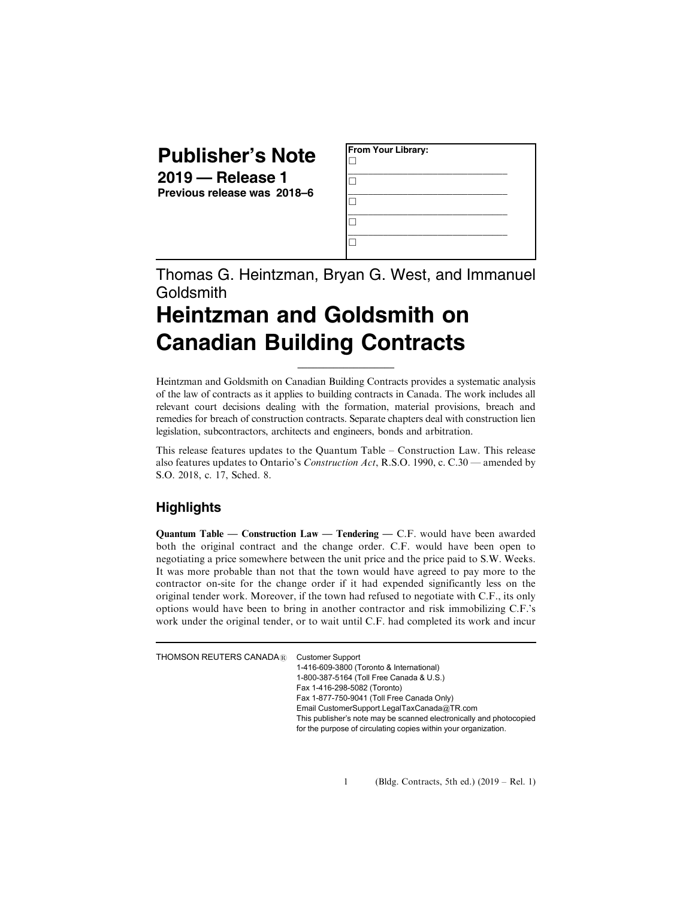## **Publisher's Note**

**2019 — Release 1 Previous release was 2018–6**

| From Your Library: |  |  |
|--------------------|--|--|
|                    |  |  |
|                    |  |  |
|                    |  |  |
|                    |  |  |

Thomas G. Heintzman, Bryan G. West, and Immanuel **Goldsmith** 

## **Heintzman and Goldsmith on Canadian Building Contracts**

Heintzman and Goldsmith on Canadian Building Contracts provides a systematic analysis of the law of contracts as it applies to building contracts in Canada. The work includes all relevant court decisions dealing with the formation, material provisions, breach and remedies for breach of construction contracts. Separate chapters deal with construction lien legislation, subcontractors, architects and engineers, bonds and arbitration.

 $\_$ 

This release features updates to the Quantum Table – Construction Law. This release also features updates to Ontario's Construction Act, R.S.O. 1990, c. C.30 — amended by S.O. 2018, c. 17, Sched. 8.

## **Highlights**

Quantum Table — Construction Law — Tendering — C.F. would have been awarded both the original contract and the change order. C.F. would have been open to negotiating a price somewhere between the unit price and the price paid to S.W. Weeks. It was more probable than not that the town would have agreed to pay more to the contractor on-site for the change order if it had expended significantly less on the original tender work. Moreover, if the town had refused to negotiate with C.F., its only options would have been to bring in another contractor and risk immobilizing C.F.'s work under the original tender, or to wait until C.F. had completed its work and incur

THOMSON REUTERS CANADA® Customer Support

1-416-609-3800 (Toronto & International) 1-800-387-5164 (Toll Free Canada & U.S.) Fax 1-416-298-5082 (Toronto) Fax 1-877-750-9041 (Toll Free Canada Only) Email CustomerSupport.LegalTaxCanada@TR.com This publisher's note may be scanned electronically and photocopied for the purpose of circulating copies within your organization.